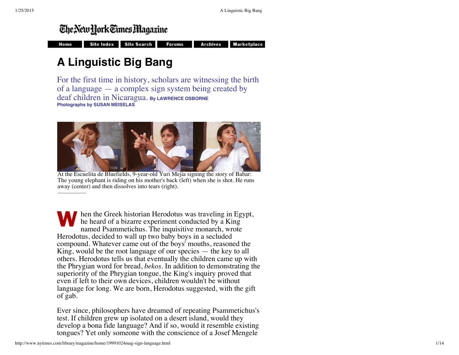## The New Hork Times Magazine

Site Index Site Search **Archives** Marketplace Home **Forums** 

# **A Linguistic Big Bang**

For the first time in history, scholars are witnessing the birth of a language — a complex sign system being created by deaf children in Nicaragua. **By LAWRENCE OSBORNE Photographs by SUSAN MEISELAS**



At the Escuelita de Bluefields, 9-year-old Yuri Mejia signing the story of Babar: The young elephant is riding on his mother's back (left) when she is shot. He runs away (center) and then dissolves into tears (right).

hen the Greek historian Herodotus was traveling in Egypt, he heard of a bizarre experiment conducted by a King named Psammetichus. The inquisitive monarch, wrote Herodotus, decided to wall up two baby boys in a secluded compound. Whatever came out of the boys' mouths, reasoned the King, would be the root language of our species — the key to all others. Herodotus tells us that eventually the children came up with the Phrygian word for bread, *bekos.* In addition to demonstrating the superiority of the Phrygian tongue, the King's inquiry proved that even if left to their own devices, children wouldn't be without language for long. We are born, Herodotus suggested, with the gift of gab.

Ever since, philosophers have dreamed of repeating Psammetichus's test. If children grew up isolated on a desert island, would they develop a bona fide language? And if so, would it resemble existing tongues? Yet only someone with the conscience of a Josef Mengele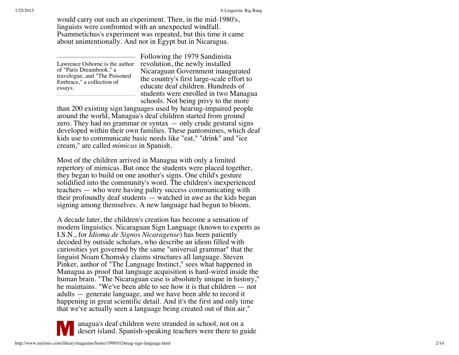carry out such an experiment. Then, in the mid-1980's, linguists were confronted with an unexpected windfal linguists were confronted with an unexpected windfall.<br>Psammetichus's experiment was repeated, but this time it came about unintentionally. And not in Egypt but in Nicaragua.

Lawrence Osborne is the author of "Paris Dreambook," a travelogue, and "The Poisoned Embrace," a collection of essay: would<br>linguis<br>Psamn<br>about<br>u<br>Lawrenc<br>of "Paris<br>travelog<br>Embrace

Following the 1979 Sandinist a revolution, the newly installed Nicaraguan Government inaugurated the country's first large-scale effort to educate deaf children. Hundreds of students were enrolled in two Managua schools. Not being privy to the more

than 200 existing sign languages used by hearing-impaired people around the world, Managua's deaf children started from ground zero. They had no grammar or syntax — only crude gestural signs developed within their own families. These pantomimes, which deaf kids use to communicate basic needs like "eat," "drink" and "ice cream," are called *mimicas* in Spanish.

Most of the children arrived in Managua with only a limited repertory of mimicas. But once the students were placed together, they began to build on one another's signs. One child's gesture solidified into the community's word. The children's inexperienced teachers — who were having paltry success communicating with their profoundly deaf students — watched in awe as the kids began signing among themselves. A new language had begun to bloom.

A decade later, the children's creation has become a sensation of modern linguistics. Nicaraguan Sign Language (known to experts a s I.S.N., for Idioma de Signos Nicaragense) has been patiently decoded by outside scholars, who describe an idiom filled with curiosities yet governed by the same "universal grammar" that the linguist Noam Chomsky claims structures all language. Steven Pinker, author of "The Language Instinct," sees what happened in Managua as proof that language acquisition is hard-wired inside the human brain. "The Nicaraguan case is absolutely unique in history," he maintains. "We've been able to see how it is that children — not adults – generate language, and we have been able to record it happening in great scientific detail. And it's the first and only time that we've actually seen a language being created out of thin air."



anagua's deaf children were stranded in school, not on a desert island. Spanish-speaking teachers were there to guide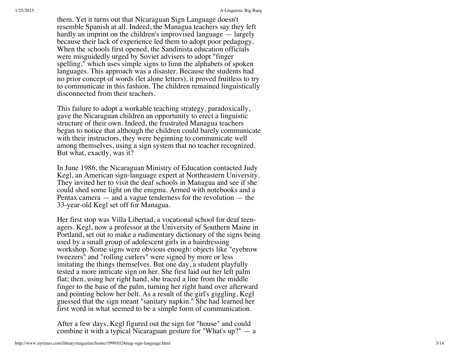them. Yet it turns out that Nicaraguan Sign Language doesn't resemble Spanish at all. Indeed, the Managua teachers say they left hardly an imprint on the children's improvised language — largely because their lack of experience led them to adopt poor pedagogy.<br>When the schools first opened, the Sandinista education officials<br>were misguidedly urged by Soviet advisers to adopt "finger<br>spelling," which uses simple si languages. This approach was a disaster. Because the students had no prior concept of words (let alone letters), it proved fruitless to tr y to communicate in this fashion. The children remained linguistically disconnected from their teachers.

This failure to adopt a workable teaching strategy, paradoxically, gave the Nicaraguan children an opportunity to erect a linguistic structure of their own. Indeed, the frustrated Managua teachers began to notice that although the children could barely communicate with their instructors, they were beginning to communicate well among themselves, using a sign system that no teacher recognized. But what, exactly, was it?

In June 1986, the Nicaraguan Ministry of Education contacted Judy Kegl, an American sign-language expert at Northeastern University. They invited her to visit the deaf schools in Managua and see if she could shed some light on the enigma. Armed with notebooks and a Pentax camera — and a vague tenderness for the revolution — the 33-year-old Kegl set off for Managua.

Her first stop was Villa Libertad, a vocational school for deaf teen agers. Kegl, now a professor at the University of Southern Maine in Portland, set out to make a rudimentary dictionary of the signs being used by a small group of adolescent girls in a hairdressing workshop. Some signs were obvious enough: objects like "eyebrow tweezers" and "rolling curlers" were signed by more or less imitating the things themselves. But one day, a student playfully tested a more intricate sign on her. She first laid out her left palm flat; then, using her right hand, she traced a line from the middle finger to the base of the palm, turning her right hand over afterward and pointing below her belt. As <sup>a</sup> result of the girl's giggling, Kegl guessed that the sign meant "sanitary napkin." She had learned her first word in what seemed to be a simple form of communication.

After a few days, Kegl figured out the sign for "house" and could combine it with a typical Nicaraguan gesture for "What's up?" — a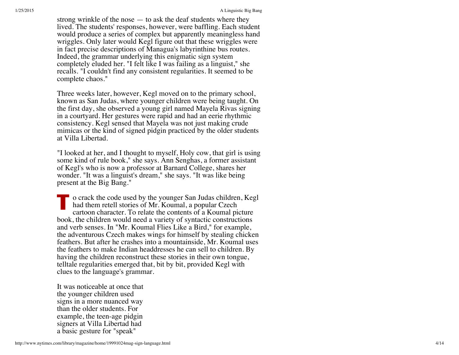strong wrinkle of the nose — to ask the deaf students where they lived. The students' responses, however, were baffling. Each student would produce a series of complex but apparently meaningless hand wriggles. Only later would Kegl figure out that these wriggles were in fact precise descriptions of Managua's labyrinthine bus routes.<br>Indeed, the grammar underlying this enigmatic sign system completely eluded her. "I felt like I was failing as a linguist," she recalls. "I couldn't find any consistent regularities. It seemed to b e complete chaos."

Three weeks later, however, Kegl moved on to the primary school, known as San Judas, where younger children were being taught. On the first day, she observed a young girl named Mayela Rivas signing in a courtyard. Her gestures were rapid and had an eerie rhythmic consistency. Kegl sensed that Mayela was not just making crude mimicas or the kind of signed pidgin practiced by the older students at Villa Libertad.

"I looked at her, and I thought to myself, Holy cow, that girl is using some kind of rule book," she says. Ann Senghas, a former assistant of Kegl's who is now a professor at Barnard College, shares her wonder. "It was a linguist's dream," she says. "It was like being present at the Big Bang."

o crack the code used by the younger San Judas children, Kegl had them retell stories of Mr. Koumal, a popular Czech cartoon character. To relate the contents of a Koumal picture book, the children would need a variety of syntactic constructions and verb senses. In "Mr. Koumal Flies Like a Bird," for example, the adventurous Czech makes wings for himself by stealing chicken feathers. But after he crashes into a mountainside, Mr. Koumal uses the feathers to make Indian headdresses he can sell to children. By having the children reconstruct these stories in their own tongue, telltale regularities emerged that, bit by bit, provided Kegl with clues to the language's grammar.

It was noticeable at once that the younger children used signs in a more nuanced way than the older students. For example, the teen-age pidgin signers at Villa Libertad had a basic gesture for "speak"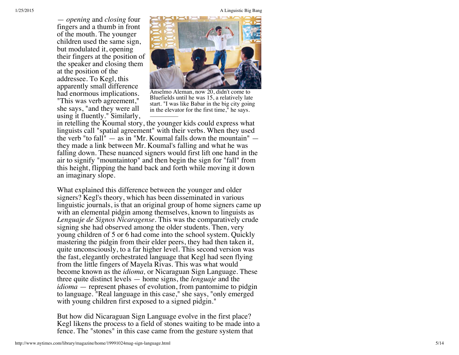- opening and closing four<br>
fingers and a thumb in front<br>
of the mouth. The younger<br>
children used the same sign,<br>
but modulated it, opening<br>
their fingers at the position of<br>
the speaker and closing them<br>
at the position

1/25/2015



Anselmo Aleman, now 20, didn't come to Bluefields until he was 15, a relatively late start. "I was like Babar in the big city going in the elevator for the first time," he says

in retelling the Koumal story, the younger kids could express wh a t linguists call "spatial agreement" with their verbs. When they used the verb "to fall"  $-$  as in "Mr. Koumal falls down the mountain"  $$ they made a link between Mr. Koumal's falling and what he was falling down. These nuanced signers would first lift one hand in the air to signify "mountaintop" and then begin the sign for "fall" from this height, flipping the hand back and forth while moving it down an imaginary slope.

What explained this difference between the younger and older signers? Kegl's theory, which has been disseminated in various linguistic journals, is that an original group of home signers came up with an elemental pidgin among themselves, known to linguists as Lenguaje de Signos Nicaragense. This was the comparatively crude signing she had observed among the older students. Then, very young children of 5 or 6 had come into the school system. Quickly mastering the pidgin from their elder peers, they had then taken it, quite unconsciously, to a far higher level. This second version was the fast, elegantly orchestrated language that Kegl had seen flying from the little fingers of Mayela Rivas. This was what would become known as the *idioma*, or Nicaraguan Sign Language. These three quite distinct levels  $-$  home signs, the *lenguaje* and the *idioma* — represent phases of evolution, from pantomime to pidgin to language. "Real language in this case," she says, "only emerged with young children first exposed to a signed pidgin."

But how did Nicaraguan Sign Language evolve in the first place? Kegl likens the process to a field of stones waiting to be made into a fence. The "stones" in this case came from the gesture system that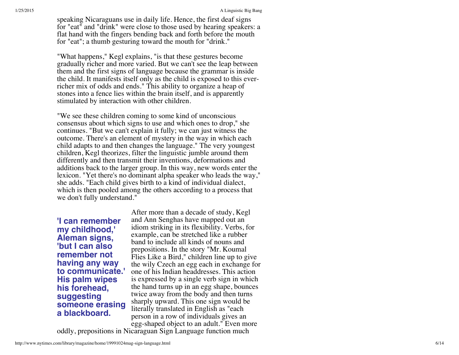speaking Nicaraguans use in daily life. Hence, the first deaf signs for "eat" and "drink" were close to those used by hearing speakers: a flat hand with the fingers bending back and forth before the mouth for "eat"; a thumb gesturing toward the mouth for "drink."

"What happens," Kegl explains, "is that these gestures become gradually richer and more varied. But we can't see the leap between them and the first signs of language because the grammar is inside the child. It manifests itself only as the child is exposed to this everricher mix of odds and ends." This ability to organize a heap of stones into a fence lies within the brain itself, and is apparently stimulated by interaction with other children.

"We see these children coming to some kind of unconscious consensus about which signs to use and which ones to drop," she continues. "But we can't explain it fully; we can just witness the outcome. There's an element of mystery in the way in which each child adapts to and then changes the language." The very youngest children, Kegl theorizes, filter the linguistic jumble around them differently and then transmit their inventions, deformations and additions back to the larger group. In this way, new words enter the lexicon. "Yet there's no dominant alpha speaker who leads the way," she adds. "Each child gives birth to a kind of individual dialect, which is then pooled among the others according to a process that we don't fully understand."<br>Af

### **1 can remember** my childhood,' **Aleman signs, but I can also remember not** having any way **to communicate.' his palm wipes** his forehead, suggesting someone erasing a blackboard.

fter more than a decade of study, Kegl and Ann Senghas have mapped out an idiom striking in its flexibility. Verbs, for example, can be stretched like a rubber band to include all kinds of nouns and prepositions. In the story "Mr. Koumal Flies Like a Bird," children line up to give the wily Czech an egg each in exchange for one of his Indian headdresses. This action is expressed by a single verb sign in which the hand turns up in an egg shape, bounces twice away from the body and then turns sharply upward. This one sign would be literally translated in English as "each person in a row of individuals gives an egg-shaped object to an adult." Even more

oddly, prepositions in Nicaraguan Sign Language function much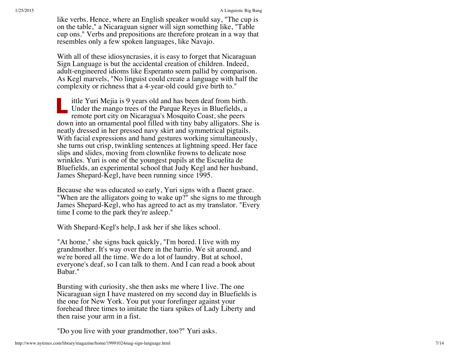like verbs. Hence, where an English speaker would say, "The cup is on the table," a Nicaraguan signer will sign something like, "Table cup ons." Verbs and prepositions are therefore protean in a way that resembles only a few spoken languages, like Navajo.

With all of these idiosyncrasies, it is easy to forget that Nicaraguan Sign Language is but the accidental creation of children. Indeed, adult-engineered idioms like Esperanto seem pallid by comparison. As Kegl marvels, "No linguist could create a language with half the complexity or richness that a 4-year-old could give birth to."

ittle Yuri Mejia is 9 years old and has been deaf from birth. Under the mango trees of the Parque Reyes in Bluefields, a remote port city on Nicaragua's Mosquito Coast, she peers down into an ornamental pool filled with tiny baby alligators. She is neatly dressed in her pressed navy skirt and symmetrical pigtails. With facial expressions and hand gestures working simultaneously, she turns out crisp, twinkling sentences at lightning speed. Her face slips and slides, moving from clownlike frowns to delicate nose wrinkles. Yuri is one of the youngest pupils at the Escuelita de Bluefields, an experimental school that Judy Kegl and her husband, James Shepard-Kegl, have been running since 1995.

Because she was educated so early, Yuri signs with a fluent grace. "When are the alligators going to wake up?" she signs to me through James Shepard-Kegl, who has agreed to act as my translator. "Every time I come to the park they're asleep."

With Shepard-Kegl's help, I ask her if she likes school.

"At home," she signs back quickly, "I'm bored. I live with my grandmother. It's way over there in the barrio. We sit around, and we're bored all the time. We do a lot of laundry. But at school, everyone's deaf, so I can talk to them. And I can read a book about Babar."

Bursting with curiosity, she then asks me where <sup>I</sup> live. The one Nicaraguan sign <sup>I</sup> have mastered on my second day in Bluefields is the one for New York. You put your forefinger against your forehead three times to imitate the tiara spikes of Lady Liberty and then raise your arm in a fist.

"Do you live with your grandmother, too?" Yuri asks.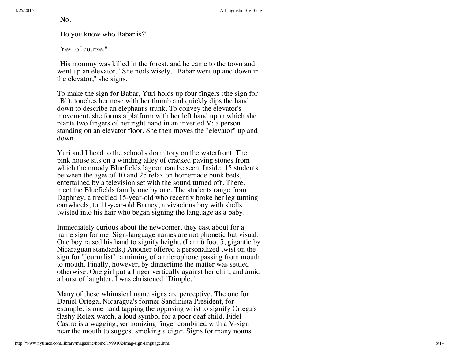" N o."

"Do you know who Babar is?"

"Yes, of course."

"His mommy was killed in the forest, and he came to the town and went up an elevator." She nods wisely. "Babar went up and down in the elevator," she signs.

To make the sign for Babar, Yuri holds up four fingers (the sign for "B"), touches her nose with her thumb and quickly dips the hand down to describe an elephant's trunk. To convey the elevator's movement, she forms a platform with her left hand upon which she plants two fingers of her right hand in an inverted V: a person standing on an elevator floor. She then moves the "elevator" up and d o w n.

Yuri and I head to the school's dormitory on the waterfront. The pink house sits on a winding alley of cracked paving stones from which the moody Bluefields lagoon can be seen. Inside, 15 students between the ages of 10 and 25 relax on homemade bunk beds, entertained by a television set with the sound turned off. There, I meet the Bluefields family one by one. The students range from Daphney, a freckled 15-year-old who recently broke her leg turning cartwheels, to 11-year-old Barney, a vivacious boy with shells twisted into his hair who began signing the language as a baby.

Immediately curious about the newcomer, they cast about for a name sign for me. Sign-language names are not phonetic but visual. One boy raised his hand to signify height. (I am <sup>6</sup> foot 5, gigantic by Nicaraguan standards.) Another offered <sup>a</sup> personalized twist on the sign for "journalist": a miming of a microphone passing from mouth to mouth. Finally, however, by dinnertime the matter was settled otherwise. One girl put a finger vertically against her chin, and amid a burst of laughter, I was christened "Dimple."

Many of these whimsical name signs are perceptive. The one for Daniel Ortega, Nicaragua's former Sandinista President, for example, is one hand tapping the opposing wrist to signify Ortega's flashy Rolex watch, a loud symbol for a poor deaf child. Fidel Castro is a wagging, sermonizing finger combined with a V-sign near the mouth to suggest smoking a cigar. Signs for many nouns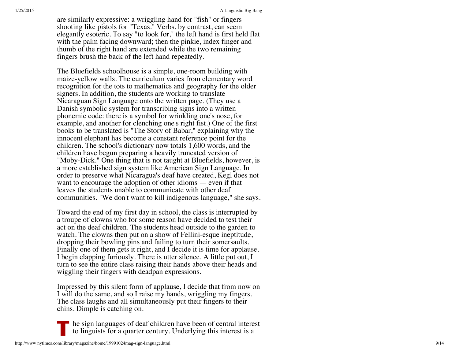are similarly expressive: a wriggling hand for "fish" or fingers shooting like pistols for "Texas." Verbs, by contrast, can seem elegantly esoteric. To say "to look for," the left hand is first held flat with the palm facing downward; then the pinkie, index finger and thumb of the right hand are extended while the two remaining fingers brush the back of the left hand repeatedly.

The Bluefields schoolhouse is a simple, one-room building with maize-yellow walls. The curriculum varies from elementary word recognition for the tots to mathematics and geography for the older signers. In addition, the students are working to translate Nicaraguan Sign Language onto the written page. (They use a Danish symbolic system for transcribing signs into a written phonemic code: there is a symbol for wrinkling one's nose, for example, and another for clenching one's right fist.) One of the first books to be translated is "The Story of Babar," explaining why the innocent elephant has become a constant reference point for the children. The school's dictionary now totals 1,600 words, and the children have begun preparing a heavily truncated version of "Moby-Dick." One thing that is not taught at Bluefields, however, is a more established sign system like American Sign Language. In order to preserve what Nicaragua's deaf have created, Kegl does not want to encourage the adoption of other idioms — even if that leaves the students unable to communicate with other deaf communities. "We don't want to kill indigenous language," she says.

Toward the end of my first day in school, the class is interrupted by a troupe of clowns who for some reason have decided to test their act on the deaf children. The students head outside to the garden to watch. The clowns then put on a show of Fellini-esque ineptitude, dropping their bowling pins and failing to turn their somersaults. Finally one of them gets it right, and I decide it is time for applause. I begin clapping furiously. There is utter silence. A little put out, I turn to see the entire class raising their hands above their heads and wiggling their fingers with deadpan expressions.

Impressed by this silent form of applause, I decide that from now on I will do the same, and so I raise my hands, wriggling my fingers. The class laughs and all simultaneously put their fingers to their chins. Dimple is catching on.

he sign languages of deaf children have been of central interest to linguists for a quarter century. Underlying this interest is a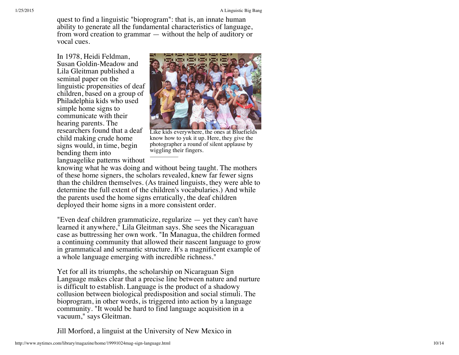innate human ability to generate all the fundamental characteristics of language, from word creation to grammar - without the help of auditory or vocal cues.

quest to find a linguistic "bioprogram": that is, an<br>ability to generate all the fundamental characterist<br>from word creation to grammar — without the he<br>vocal cues.<br>In 1978, Heidi Feldman,<br>Susan Goldin-Meadow and<br>Lila Glei In 1978, Heidi Feldman, Susan Goldin-Meadow and Lila Gleitman published a seminal paper on the linguistic propensities of deaf children, based on a group of Philadelphia kids who used simple home signs to communicate with their hearing parents. The researchers found that a deaf child making crude home signs would, in time, begin bending them into languagelike patterns without



Like kids everywhere, the ones at Bluefields know how to yuk it up. Here, they give the photographer a round of silent applause by wiggling their finger

knowing what he was doing and without being taught. The mothers of these home signers, the scholars revealed, knew far fewer signs than the children themselves. (As trained linguists, they were able to determine the full extent of the children's vocabularies.) And while the parents used the home signs erratically, the deaf children deployed their home signs in a more consistent order.

"Even deaf children grammaticize, regularize  $-$  yet they can't have learned it anywhere," Lila Gleitman says. She sees the Nicaraguan case as buttressing her own work. "In Managua, the children formed a continuing community that allowed their nascent language to grow in grammatical and semantic structure. It's a magnificent example of a whole language emerging with incredible richness."

Yet for all its triumphs, the scholarship on Nicaraguan Sign Language makes clear that a precise line between nature and nurture is difficult to establish. Language is the product of a shadowy collusion between biological predisposition and social stimuli. The bioprogram, in other words, is triggered into action by a language community. "It would be hard to find language acquisition in a vacuum," says Gleitman.

Jill Morford, a linguist at the University of New Mexico in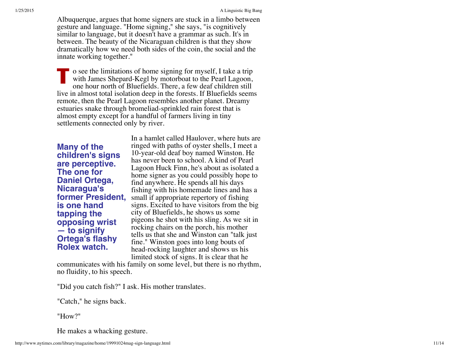Albuquerque, argues that home signers are stuck in a limbo between gesture and language. "Home signing," she says, "is cognitively similar to language, but it doesn't have a grammar as such. It's in between. The beauty of the Nicaraguan children is that they show dramatically how we need both sides of the coin, the social and the innate working together."

o see the limitations of home signing for myself, I take a trip with James Shepard-Kegl by motorboat to the Pearl Lagoon, one hour north of Bluefields. There, a few deaf children still live in almost total isolation deep in the forests. If Bluefields seems remote, then the Pearl Lagoon resembles another planet. Dreamy estuaries snake through bromeliad-sprinkled rain forest that is almost empty except for a handful of farmers living in tiny settlements connected only by river.

### **Many of the children's signs** are perceptive. **The one for Daniel Ortega,** Nicaragua's former President, is one hand **tapping the opposing wrist**  $-$ **<b>to** signify **Ortega's flashy Rolex watch.**

In a hamlet called Haulover, where huts are ringed with paths of oyster shells, I meet a 10-year-old deaf boy named Winston. He has never been to school. A kind of Pearl Lagoon Huck Finn, he's about as isolated a home signer as you could possibly hope to find anywhere. He spends all his days fishing with his homemade lines and has a small if appropriate repertory of fishing signs. Excited to have visitors from the big city of Bluefields, he shows us some pigeons he shot with his sling. As we sit in rocking chairs on the porch, his mother tells us that she and Winston can "talk just fine." Winston goes into long bouts of head-rocking laughter and shows us his limited stock of signs. It is clear that he

communicates with his family on some level, but there is no rhythm, no fluidity, to his speech.

"Did you catch fish?" I ask. His mother translates.

"Catch," he signs back.

"How?"

He makes a whacking gesture.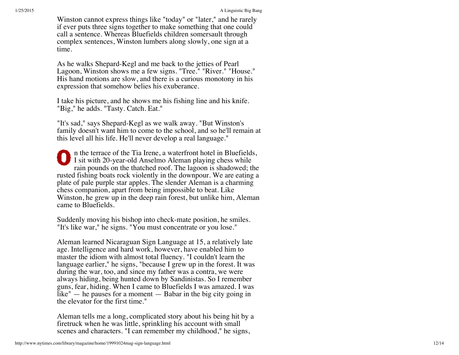Winston cannot express things like "today" or "later," and he rarely if ever puts three signs together to make something that one could call a sentence. Whereas Bluefields children somersault through complex sentences, Winston lumbers along slowly, one sign at a time.

As he walks Shepard-Kegl and me back to the jetties of Pearl Lagoon, Winston shows me a few signs. "Tree." "River." "House." His hand motions are slow, and there is a curious monotony in his expression that somehow belies his exuberance.

I take his picture, and he shows me his fishing line and his knife. "Big," he adds. "Tasty. Catch. Eat."

"It's sad," says Shepard-Kegl as we walk away. "But Winston's family doesn't want him to come to the school, and so he'll remai n a t this level all his life. He'll never develop a real language."

n the terrace of the Tia Irene, a waterfront hotel in Bluefields, I sit with 20-year-old Anselmo Aleman playing chess while rain pounds on the thatched roof. The lagoon is shadowed; the rusted fishing boats rock violently in the downpour. We are eating a plate of pale purple star apples. The slender Aleman is a charming chess companion, apart from being impossible to beat. Like Winston, he grew up in the deep rain forest, but unlike him, Aleman came to Bluefields.

Suddenly moving his bishop into check-mate position, he smile "It's like war," he signs. "You must concentrate or you lose."

Aleman learned Nicaraguan Sign Language at 15, a relatively late age. Intelligence and hard work, however, have enabled him to master the idiom with almost total fluency. "I couldn't learn the language earlier," he signs, "because I grew up in the forest. It was during the war, too, and since my father was a contra, we were always hiding, being hunted down by Sandinistas. So I remember guns, fear, hiding. When I came to Bluefields I was amazed. I was like"  $-$  he pauses for a moment  $-$  Babar in the big city going in the elevator for the first time."

Aleman tells me a long, complicated story about his being hit by a firetruck when he was little, sprinkling his account with small scenes and characters. "I can remember my childhood," he signs,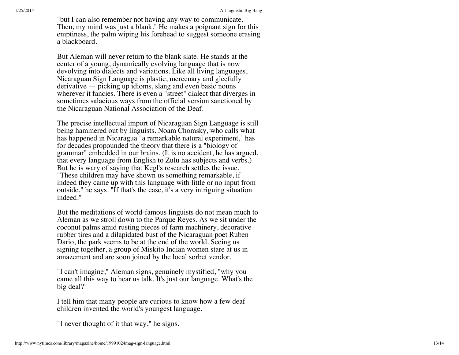"but I can also remember not having any way to communicat "but I can also remember not having any way to communicate.<br>Then, my mind was just a blank." He makes a poignant sign for this emptiness, the palm wiping his forehead to suggest someone erasing a blackboard.

But Aleman will never return to the blank slate. He stands at the center of a young, dynamically evolving language that is now devolving into dialects and variations. Like all living languages, Nicaraguan Sign Language is plastic, mercenary and gleefully derivative — picking up idioms, slang and even basic nouns wherever it fancies. There is even a "street" dialect that diverges in sometimes salacious ways from the official version sanctioned by the Nicaraguan National Association of the Deaf.

The precise intellectual import of Nicaraguan Sign Language is still being hammered out by linguists. Noam Chomsky, who calls what has happened in Nicaragua "a remarkable natural experiment," has for decades propounded the theory that there is a "biology of grammar" embedded in our brains. (It is no accident, he has argued, that every language from English to Zulu has subjects and verbs.) But he is wary of saying that Kegl's research settles the issue. "These children may have shown us something remarkable, if indeed they came up with this language with little or no input fr o m outside," he says. "If that's the case, it's a very intriguing situation indeed."

But the meditations of world-famous linguists do not mean much to Aleman as we stroll down to the Parque Reyes. As we sit under the coconut palms amid rusting pieces of farm machinery, decorative rubber tires and a dilapidated bust of the Nicaraguan poet Ruben Dario, the park seems to be at the end of the world. Seeing us signing together, a group of Miskito Indian women stare at us in amazement and are soon joined by the local sorbet vendor.

"I can't imagine," Aleman signs, genuinely mystified, "why y o u came all this way to hear us talk. It's just our language. What's the big deal?"

I tell him that many people are curious to know how a few deaf children invented the world's youngest language.

"I never thought of it that way," he signs.